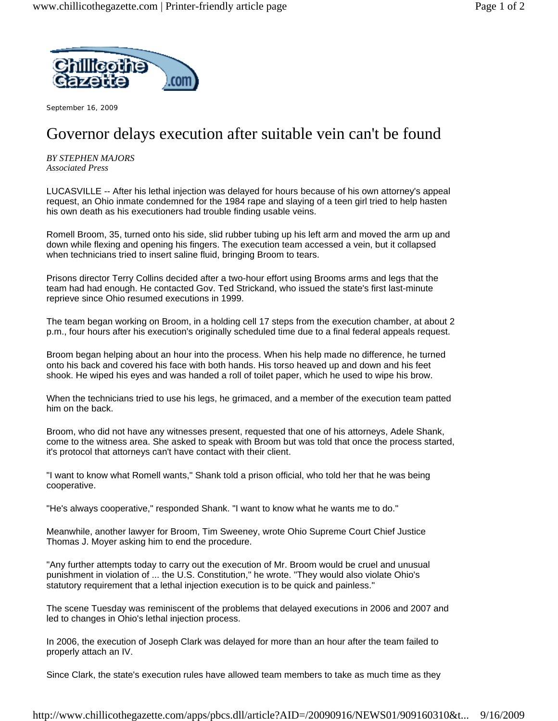

September 16, 2009

## Governor delays execution after suitable vein can't be found

*BY STEPHEN MAJORS Associated Press*

LUCASVILLE -- After his lethal injection was delayed for hours because of his own attorney's appeal request, an Ohio inmate condemned for the 1984 rape and slaying of a teen girl tried to help hasten his own death as his executioners had trouble finding usable veins.

Romell Broom, 35, turned onto his side, slid rubber tubing up his left arm and moved the arm up and down while flexing and opening his fingers. The execution team accessed a vein, but it collapsed when technicians tried to insert saline fluid, bringing Broom to tears.

Prisons director Terry Collins decided after a two-hour effort using Brooms arms and legs that the team had had enough. He contacted Gov. Ted Strickand, who issued the state's first last-minute reprieve since Ohio resumed executions in 1999.

The team began working on Broom, in a holding cell 17 steps from the execution chamber, at about 2 p.m., four hours after his execution's originally scheduled time due to a final federal appeals request.

Broom began helping about an hour into the process. When his help made no difference, he turned onto his back and covered his face with both hands. His torso heaved up and down and his feet shook. He wiped his eyes and was handed a roll of toilet paper, which he used to wipe his brow.

When the technicians tried to use his legs, he grimaced, and a member of the execution team patted him on the back.

Broom, who did not have any witnesses present, requested that one of his attorneys, Adele Shank, come to the witness area. She asked to speak with Broom but was told that once the process started, it's protocol that attorneys can't have contact with their client.

"I want to know what Romell wants," Shank told a prison official, who told her that he was being cooperative.

"He's always cooperative," responded Shank. "I want to know what he wants me to do."

Meanwhile, another lawyer for Broom, Tim Sweeney, wrote Ohio Supreme Court Chief Justice Thomas J. Moyer asking him to end the procedure.

"Any further attempts today to carry out the execution of Mr. Broom would be cruel and unusual punishment in violation of ... the U.S. Constitution," he wrote. "They would also violate Ohio's statutory requirement that a lethal injection execution is to be quick and painless."

The scene Tuesday was reminiscent of the problems that delayed executions in 2006 and 2007 and led to changes in Ohio's lethal injection process.

In 2006, the execution of Joseph Clark was delayed for more than an hour after the team failed to properly attach an IV.

Since Clark, the state's execution rules have allowed team members to take as much time as they